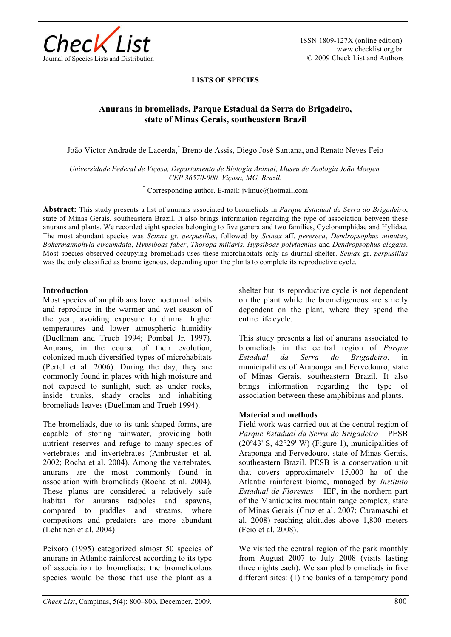

### **LISTS OF SPECIES**

# **Anurans in bromeliads, Parque Estadual da Serra do Brigadeiro, state of Minas Gerais, southeastern Brazil**

João Victor Andrade de Lacerda,\* Breno de Assis, Diego José Santana, and Renato Neves Feio

*Universidade Federal de Viçosa, Departamento de Biologia Animal, Museu de Zoologia João Moojen. CEP 36570-000. Viçosa, MG, Brazil.* 

\* Corresponding author. E-mail: jvlmuc@hotmail.com

**Abstract:** This study presents a list of anurans associated to bromeliads in *Parque Estadual da Serra do Brigadeiro*, state of Minas Gerais, southeastern Brazil. It also brings information regarding the type of association between these anurans and plants. We recorded eight species belonging to five genera and two families, Cycloramphidae and Hylidae. The most abundant species was *Scinax* gr. *perpusillus*, followed by *Scinax* aff. *perereca*, *Dendropsophus minutus*, *Bokermannohyla circumdata*, *Hypsiboas faber*, *Thoropa miliaris*, *Hypsiboas polytaenius* and *Dendropsophus elegans*. Most species observed occupying bromeliads uses these microhabitats only as diurnal shelter. *Scinax* gr. *perpusillus* was the only classified as bromeligenous, depending upon the plants to complete its reproductive cycle.

#### **Introduction**

Most species of amphibians have nocturnal habits and reproduce in the warmer and wet season of the year, avoiding exposure to diurnal higher temperatures and lower atmospheric humidity (Duellman and Trueb 1994; Pombal Jr. 1997). Anurans, in the course of their evolution, colonized much diversified types of microhabitats (Pertel et al. 2006). During the day, they are commonly found in places with high moisture and not exposed to sunlight, such as under rocks, inside trunks, shady cracks and inhabiting bromeliads leaves (Duellman and Trueb 1994).

The bromeliads, due to its tank shaped forms, are capable of storing rainwater, providing both nutrient reserves and refuge to many species of vertebrates and invertebrates (Ambruster et al. 2002; Rocha et al. 2004). Among the vertebrates, anurans are the most commonly found in association with bromeliads (Rocha et al. 2004). These plants are considered a relatively safe habitat for anurans tadpoles and spawns, compared to puddles and streams, where competitors and predators are more abundant (Lehtinen et al. 2004).

Peixoto (1995) categorized almost 50 species of anurans in Atlantic rainforest according to its type of association to bromeliads: the bromelicolous species would be those that use the plant as a shelter but its reproductive cycle is not dependent on the plant while the bromeligenous are strictly dependent on the plant, where they spend the entire life cycle.

This study presents a list of anurans associated to bromeliads in the central region of *Parque Estadual da Serra do Brigadeiro*, in municipalities of Araponga and Fervedouro, state of Minas Gerais, southeastern Brazil. It also brings information regarding the type of association between these amphibians and plants.

### **Material and methods**

Field work was carried out at the central region of *Parque Estadual da Serra do Brigadeiro* – PESB  $(20°43' S, 42°29' W)$  (Figure 1), municipalities of Araponga and Fervedouro, state of Minas Gerais, southeastern Brazil. PESB is a conservation unit that covers approximately 15,000 ha of the Atlantic rainforest biome, managed by *Instituto Estadual de Florestas* – IEF, in the northern part of the Mantiqueira mountain range complex, state of Minas Gerais (Cruz et al. 2007; Caramaschi et al. 2008) reaching altitudes above 1,800 meters (Feio et al. 2008).

We visited the central region of the park monthly from August 2007 to July 2008 (visits lasting three nights each). We sampled bromeliads in five different sites: (1) the banks of a temporary pond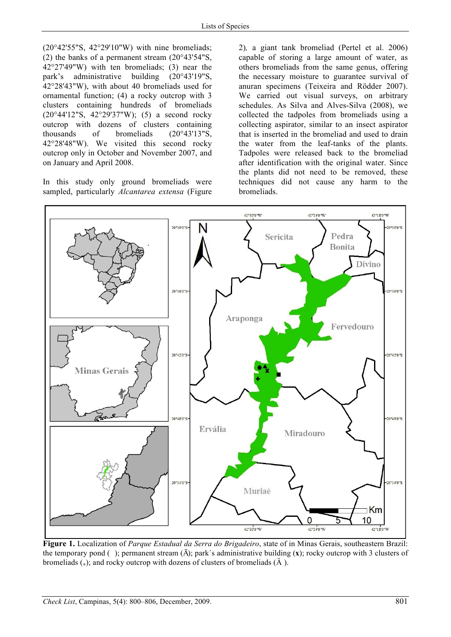(20°42'55"S, 42°29'10"W) with nine bromeliads; (2) the banks of a permanent stream (20°43'54"S, 42°27'49"W) with ten bromeliads; (3) near the park's administrative building (20°43'19"S, 42°28'43"W), with about 40 bromeliads used for ornamental function; (4) a rocky outcrop with 3 clusters containing hundreds of bromeliads (20°44'12"S, 42°29'37"W); (5) a second rocky outcrop with dozens of clusters containing thousands of bromeliads (20°43'13"S, 42°28'48"W). We visited this second rocky outcrop only in October and November 2007, and on January and April 2008.

In this study only ground bromeliads were sampled, particularly *Alcantarea extensa* (Figure 2)*,* a giant tank bromeliad (Pertel et al. 2006) capable of storing a large amount of water, as others bromeliads from the same genus, offering the necessary moisture to guarantee survival of anuran specimens (Teixeira and Rödder 2007). We carried out visual surveys, on arbitrary schedules. As Silva and Alves-Silva (2008), we collected the tadpoles from bromeliads using a collecting aspirator, similar to an insect aspirator that is inserted in the bromeliad and used to drain the water from the leaf-tanks of the plants. Tadpoles were released back to the bromeliad after identification with the original water. Since the plants did not need to be removed, these techniques did not cause any harm to the bromeliads.



**Figure 1.** Localization of *Parque Estadual da Serra do Brigadeiro*, state of in Minas Gerais, southeastern Brazil: the temporary pond ( ); permanent stream (Ā); park´s administrative building (**x**); rocky outcrop with 3 clusters of bromeliads  $(+)$ ; and rocky outcrop with dozens of clusters of bromeliads  $(\tilde{A})$ .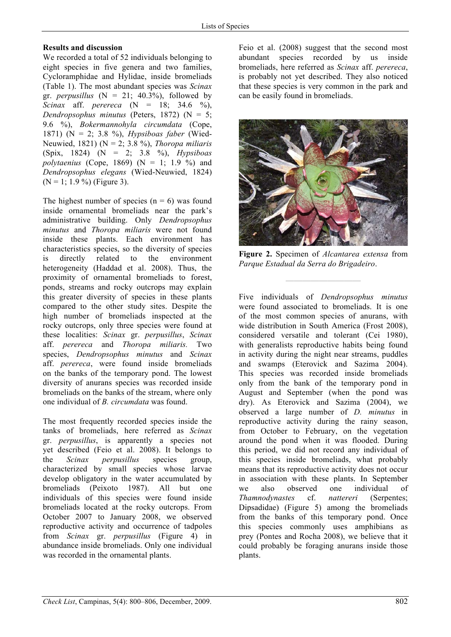# **Results and discussion**

We recorded a total of 52 individuals belonging to eight species in five genera and two families, Cycloramphidae and Hylidae, inside bromeliads (Table 1). The most abundant species was *Scinax* gr. *perpusillus*  $(N = 21; 40.3\%)$ , followed by *Scinax* aff. *perereca* (N = 18; 34.6 %), *Dendropsophus minutus* (Peters, 1872) (N = 5; 9.6 %), *Bokermannohyla circumdata* (Cope, 1871) (N = 2; 3.8 %), *Hypsiboas faber* (Wied-Neuwied, 1821) (N = 2; 3.8 %), *Thoropa miliaris* (Spix, 1824) (N = 2; 3.8 %), *Hypsiboas polytaenius* (Cope, 1869) ( $N = 1$ ; 1.9 %) and *Dendropsophus elegans* (Wied-Neuwied, 1824)  $(N = 1; 1.9\%)$  (Figure 3).

The highest number of species  $(n = 6)$  was found inside ornamental bromeliads near the park's administrative building. Only *Dendropsophus minutus* and *Thoropa miliaris* were not found inside these plants. Each environment has characteristics species, so the diversity of species is directly related to the environment heterogeneity (Haddad et al. 2008). Thus, the proximity of ornamental bromeliads to forest, ponds, streams and rocky outcrops may explain this greater diversity of species in these plants compared to the other study sites. Despite the high number of bromeliads inspected at the rocky outcrops, only three species were found at these localities: *Scinax* gr. *perpusillus*, *Scinax* aff. *perereca* and *Thoropa miliaris.* Two species, *Dendropsophus minutus* and *Scinax* aff. *perereca*, were found inside bromeliads on the banks of the temporary pond. The lowest diversity of anurans species was recorded inside bromeliads on the banks of the stream, where only one individual of *B. circumdata* was found.

The most frequently recorded species inside the tanks of bromeliads, here referred as *Scinax* gr. *perpusillus*, is apparently a species not yet described (Feio et al. 2008). It belongs to the *Scinax perpusillus* species group, characterized by small species whose larvae develop obligatory in the water accumulated by bromeliads (Peixoto 1987). All but one individuals of this species were found inside bromeliads located at the rocky outcrops. From October 2007 to January 2008, we observed reproductive activity and occurrence of tadpoles from *Scinax* gr. *perpusillus* (Figure 4) in abundance inside bromeliads. Only one individual was recorded in the ornamental plants.

Feio et al. (2008) suggest that the second most abundant species recorded by us inside bromeliads, here referred as *Scinax* aff. *perereca*, is probably not yet described. They also noticed that these species is very common in the park and can be easily found in bromeliads.



**Figure 2.** Specimen of *Alcantarea extensa* from *Parque Estadual da Serra do Brigadeiro*.

**—————————**

Five individuals of *Dendropsophus minutus* were found associated to bromeliads. It is one of the most common species of anurans, with wide distribution in South America (Frost 2008), considered versatile and tolerant (Cei 1980), with generalists reproductive habits being found in activity during the night near streams, puddles and swamps (Eterovick and Sazima 2004). This species was recorded inside bromeliads only from the bank of the temporary pond in August and September (when the pond was dry). As Eterovick and Sazima (2004), we observed a large number of *D. minutus* in reproductive activity during the rainy season, from October to February, on the vegetation around the pond when it was flooded. During this period, we did not record any individual of this species inside bromeliads, what probably means that its reproductive activity does not occur in association with these plants. In September we also observed one individual of *Thamnodynastes* cf. *nattereri* (Serpentes; Dipsadidae) (Figure 5) among the bromeliads from the banks of this temporary pond. Once this species commonly uses amphibians as prey (Pontes and Rocha 2008), we believe that it could probably be foraging anurans inside those plants.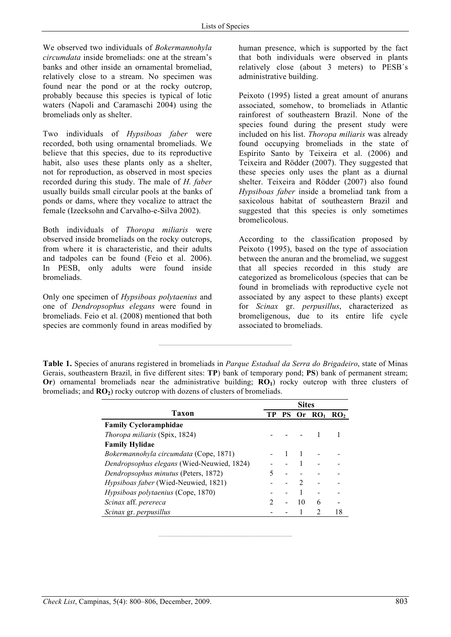We observed two individuals of *Bokermannohyla circumdata* inside bromeliads: one at the stream's banks and other inside an ornamental bromeliad, relatively close to a stream. No specimen was found near the pond or at the rocky outcrop, probably because this species is typical of lotic waters (Napoli and Caramaschi 2004) using the bromeliads only as shelter.

Two individuals of *Hypsiboas faber* were recorded, both using ornamental bromeliads. We believe that this species, due to its reproductive habit, also uses these plants only as a shelter, not for reproduction, as observed in most species recorded during this study. The male of *H. faber* usually builds small circular pools at the banks of ponds or dams, where they vocalize to attract the female (Izecksohn and Carvalho-e-Silva 2002).

Both individuals of *Thoropa miliaris* were observed inside bromeliads on the rocky outcrops, from where it is characteristic, and their adults and tadpoles can be found (Feio et al. 2006). In PESB, only adults were found inside bromeliads.

Only one specimen of *Hypsiboas polytaenius* and one of *Dendropsophus elegans* were found in bromeliads. Feio et al. (2008) mentioned that both species are commonly found in areas modified by

human presence, which is supported by the fact that both individuals were observed in plants relatively close (about 3 meters) to PESB´s administrative building.

Peixoto (1995) listed a great amount of anurans associated, somehow, to bromeliads in Atlantic rainforest of southeastern Brazil. None of the species found during the present study were included on his list. *Thoropa miliaris* was already found occupying bromeliads in the state of Espírito Santo by Teixeira et al. (2006) and Teixeira and Rödder (2007). They suggested that these species only uses the plant as a diurnal shelter. Teixeira and Rödder (2007) also found *Hypsiboas faber* inside a bromeliad tank from a saxicolous habitat of southeastern Brazil and suggested that this species is only sometimes bromelicolous.

According to the classification proposed by Peixoto (1995), based on the type of association between the anuran and the bromeliad, we suggest that all species recorded in this study are categorized as bromelicolous (species that can be found in bromeliads with reproductive cycle not associated by any aspect to these plants) except for *Scinax* gr. *perpusillus*, characterized as bromeligenous, due to its entire life cycle associated to bromeliads.

**————————————————** 

|                                                   | <b>Sites</b> |    |    |          |                 |
|---------------------------------------------------|--------------|----|----|----------|-----------------|
| Taxon                                             | TР           | PS |    | Or $RO1$ | RO <sub>2</sub> |
| <b>Family Cycloramphidae</b>                      |              |    |    |          |                 |
| Thoropa miliaris (Spix, 1824)                     |              |    |    |          |                 |
| <b>Family Hylidae</b>                             |              |    |    |          |                 |
| Bokermannohyla circumdata (Cope, 1871)            |              |    |    |          |                 |
| <i>Dendropsophus elegans</i> (Wied-Neuwied, 1824) |              |    |    |          |                 |
| Dendropsophus minutus (Peters, 1872)              |              |    |    |          |                 |
| Hypsiboas faber (Wied-Neuwied, 1821)              |              |    |    |          |                 |
| Hypsiboas polytaenius (Cope, 1870)                |              |    |    |          |                 |
| Scinax aff. perereca                              |              |    | 10 | 6        |                 |
| Scinax gr. perpusillus                            |              |    |    |          |                 |

**————————————————** 

**Table 1.** Species of anurans registered in bromeliads in *Parque Estadual da Serra do Brigadeiro*, state of Minas Gerais, southeastern Brazil, in five different sites: **TP**) bank of temporary pond; **PS**) bank of permanent stream; **Or**) ornamental bromeliads near the administrative building; **RO**<sub>1</sub>) rocky outcrop with three clusters of bromeliads; and  $\mathbb{R}O_2$ ) rocky outcrop with dozens of clusters of bromeliads.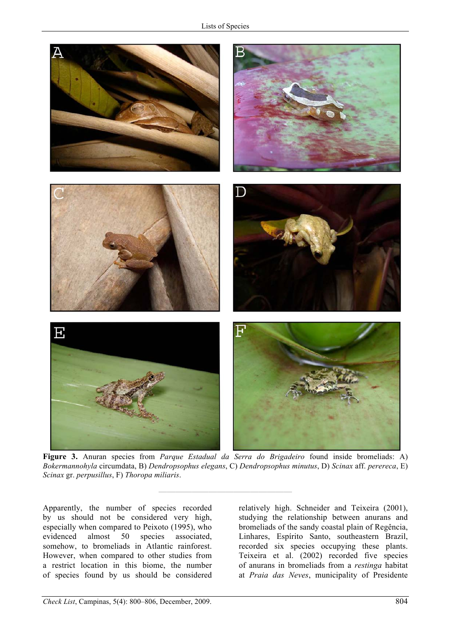

**Figure 3.** Anuran species from *Parque Estadual da Serra do Brigadeiro* found inside bromeliads: A) *Bokermannohyla* circumdata, B) *Dendropsophus elegans*, C) *Dendropsophus minutus*, D) *Scinax* aff. *perereca*, E) *Scinax* gr. *perpusillus*, F) *Thoropa miliaris*.

**————————————————**

Apparently, the number of species recorded by us should not be considered very high, especially when compared to Peixoto (1995), who evidenced almost 50 species associated, somehow, to bromeliads in Atlantic rainforest. However, when compared to other studies from a restrict location in this biome, the number of species found by us should be considered relatively high. Schneider and Teixeira (2001), studying the relationship between anurans and bromeliads of the sandy coastal plain of Regência, Linhares, Espírito Santo, southeastern Brazil, recorded six species occupying these plants. Teixeira et al. (2002) recorded five species of anurans in bromeliads from a *restinga* habitat at *Praia das Neves*, municipality of Presidente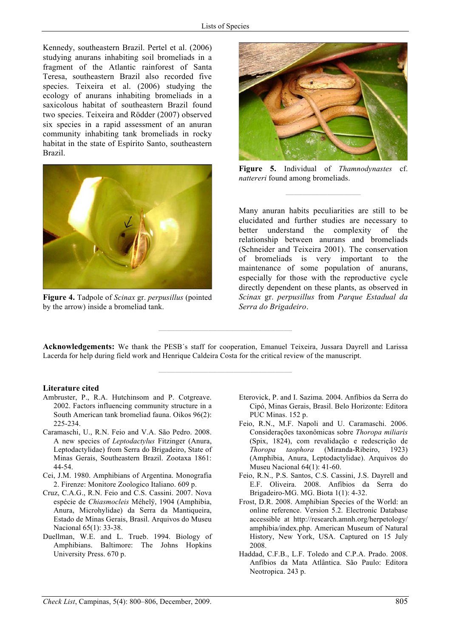Kennedy, southeastern Brazil. Pertel et al. (2006) studying anurans inhabiting soil bromeliads in a fragment of the Atlantic rainforest of Santa Teresa, southeastern Brazil also recorded five species. Teixeira et al. (2006) studying the ecology of anurans inhabiting bromeliads in a saxicolous habitat of southeastern Brazil found two species. Teixeira and Rödder (2007) observed six species in a rapid assessment of an anuran community inhabiting tank bromeliads in rocky habitat in the state of Espírito Santo, southeastern Brazil.



**Figure 4.** Tadpole of *Scinax* gr. *perpusillus* (pointed by the arrow) inside a bromeliad tank.



**Figure 5.** Individual of *Thamnodynastes* cf. *nattereri* found among bromeliads.

**—————————**

Many anuran habits peculiarities are still to be elucidated and further studies are necessary to better understand the complexity of the relationship between anurans and bromeliads (Schneider and Teixeira 2001). The conservation of bromeliads is very important to the maintenance of some population of anurans, especially for those with the reproductive cycle directly dependent on these plants, as observed in *Scinax* gr. *perpusillus* from *Parque Estadual da Serra do Brigadeiro*.

**Acknowledgements:** We thank the PESB´s staff for cooperation, Emanuel Teixeira, Jussara Dayrell and Larissa Lacerda for help during field work and Henrique Caldeira Costa for the critical review of the manuscript.

**————————————————**

**————————————————**

#### **Literature cited**

- Ambruster, P., R.A. Hutchinsom and P. Cotgreave. 2002. Factors influencing community structure in a South American tank bromeliad fauna. Oikos 96(2): 225-234.
- Caramaschi, U., R.N. Feio and V.A. São Pedro. 2008. A new species of *Leptodactylus* Fitzinger (Anura, Leptodactylidae) from Serra do Brigadeiro, State of Minas Gerais, Southeastern Brazil. Zootaxa 1861: 44-54.
- Cei, J.M. 1980. Amphibians of Argentina. Monografia 2. Firenze: Monitore Zoologico Italiano. 609 p.
- Cruz, C.A.G., R.N. Feio and C.S. Cassini. 2007. Nova espécie de *Chiasmocleis* Méhelÿ, 1904 (Amphibia, Anura, Microhylidae) da Serra da Mantiqueira, Estado de Minas Gerais, Brasil. Arquivos do Museu Nacional 65(1): 33-38.
- Duellman, W.E. and L. Trueb. 1994. Biology of Amphibians. Baltimore: The Johns Hopkins University Press. 670 p.
- Eterovick, P. and I. Sazima. 2004. Anfíbios da Serra do Cipó, Minas Gerais, Brasil. Belo Horizonte: Editora PUC Minas. 152 p.
- Feio, R.N., M.F. Napoli and U. Caramaschi. 2006. Considerações taxonômicas sobre *Thoropa miliaris*  (Spix, 1824), com revalidação e redescrição de *Thoropa taophora* (Miranda-Ribeiro, 1923) (Amphibia, Anura, Leptodactylidae). Arquivos do Museu Nacional 64(1): 41-60.
- Feio, R.N., P.S. Santos, C.S. Cassini, J.S. Dayrell and E.F. Oliveira. 2008. Anfíbios da Serra do Brigadeiro-MG. MG. Biota 1(1): 4-32.
- Frost, D.R. 2008. Amphibian Species of the World: an online reference. Version 5.2. Electronic Database accessible at http://research.amnh.org/herpetology/ amphibia/index.php. American Museum of Natural History, New York, USA. Captured on 15 July 2008.
- Haddad, C.F.B., L.F. Toledo and C.P.A. Prado. 2008. Anfíbios da Mata Atlântica. São Paulo: Editora Neotropica. 243 p.